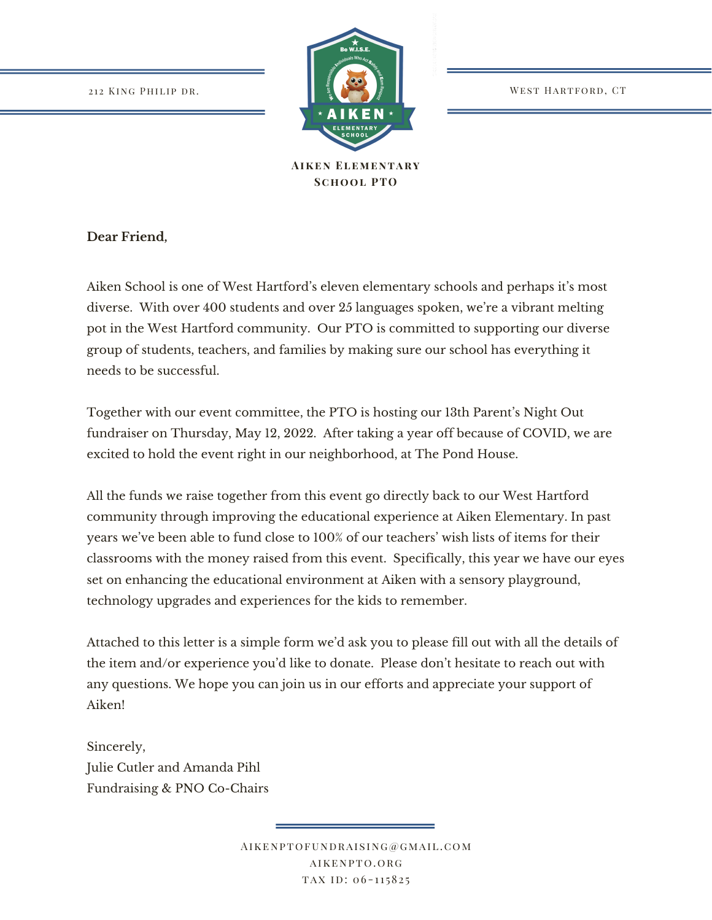

**Aiken Elementary School PTO**

**Dear Friend,**

Aiken School is one of West Hartford's eleven elementary schools and perhaps it's most diverse. With over 400 students and over 25 languages spoken, we're a vibrant melting pot in the West Hartford community. Our PTO is committed to supporting our diverse group of students, teachers, and families by making sure our school has everything it needs to be successful.

Together with our event committee, the PTO is hosting our 13th Parent's Night Out fundraiser on Thursday, May 12, 2022. After taking a year off because of COVID, we are excited to hold the event right in our neighborhood, at The Pond House.

All the funds we raise together from this event go directly back to our West Hartford community through improving the educational experience at Aiken Elementary. In past years we've been able to fund close to 100% of our teachers' wish lists of items for their classrooms with the money raised from this event. Specifically, this year we have our eyes set on enhancing the educational environment at Aiken with a sensory playground, technology upgrades and experiences for the kids to remember.

Attached to this letter is a simple form we'd ask you to please fill out with all the details of the item and/or experience you'd like to donate. Please don't hesitate to reach out with any questions. We hope you can join us in our efforts and appreciate your support of Aiken!

Sincerely, Julie Cutler and Amanda Pihl Fundraising & PNO Co-Chairs

> Aikenptofundraising@gmail.com aikenpto.org TAX ID: 06-115825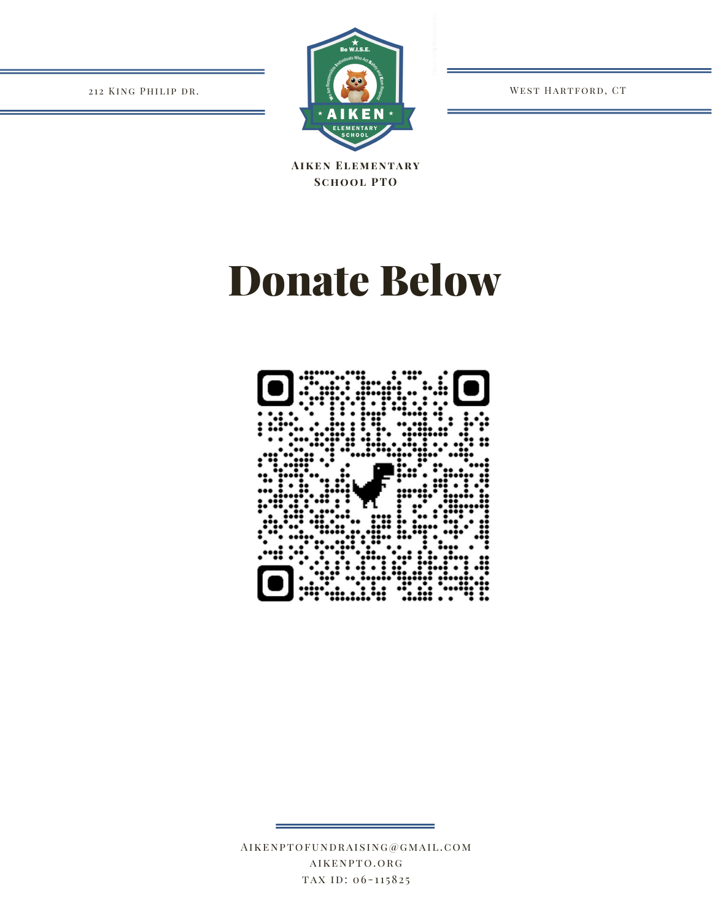WEST HARTFORD, CT

212 KING PHILIP DR.



**AIKEN ELEMENTARY SCHOOL PTO** 

## **Donate Below**



 $\verb|AIKENPTOFUNDRAISING@GMAL.COM\\$ AIKENPTO.ORG TAX ID: 06-115825